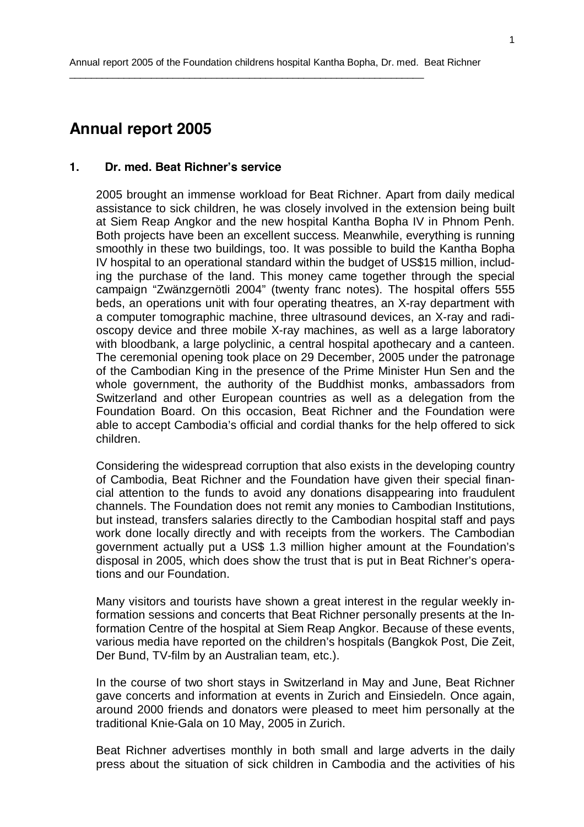# **Annual report 2005**

# **1. Dr. med. Beat Richner's service**

2005 brought an immense workload for Beat Richner. Apart from daily medical assistance to sick children, he was closely involved in the extension being built at Siem Reap Angkor and the new hospital Kantha Bopha IV in Phnom Penh. Both projects have been an excellent success. Meanwhile, everything is running smoothly in these two buildings, too. It was possible to build the Kantha Bopha IV hospital to an operational standard within the budget of US\$15 million, including the purchase of the land. This money came together through the special campaign "Zwänzgernötli 2004" (twenty franc notes). The hospital offers 555 beds, an operations unit with four operating theatres, an X-ray department with a computer tomographic machine, three ultrasound devices, an X-ray and radioscopy device and three mobile X-ray machines, as well as a large laboratory with bloodbank, a large polyclinic, a central hospital apothecary and a canteen. The ceremonial opening took place on 29 December, 2005 under the patronage of the Cambodian King in the presence of the Prime Minister Hun Sen and the whole government, the authority of the Buddhist monks, ambassadors from Switzerland and other European countries as well as a delegation from the Foundation Board. On this occasion, Beat Richner and the Foundation were able to accept Cambodia's official and cordial thanks for the help offered to sick children.

Considering the widespread corruption that also exists in the developing country of Cambodia, Beat Richner and the Foundation have given their special financial attention to the funds to avoid any donations disappearing into fraudulent channels. The Foundation does not remit any monies to Cambodian Institutions, but instead, transfers salaries directly to the Cambodian hospital staff and pays work done locally directly and with receipts from the workers. The Cambodian government actually put a US\$ 1.3 million higher amount at the Foundation's disposal in 2005, which does show the trust that is put in Beat Richner's operations and our Foundation.

Many visitors and tourists have shown a great interest in the regular weekly information sessions and concerts that Beat Richner personally presents at the Information Centre of the hospital at Siem Reap Angkor. Because of these events, various media have reported on the children's hospitals (Bangkok Post, Die Zeit, Der Bund, TV-film by an Australian team, etc.).

In the course of two short stays in Switzerland in May and June, Beat Richner gave concerts and information at events in Zurich and Einsiedeln. Once again, around 2000 friends and donators were pleased to meet him personally at the traditional Knie-Gala on 10 May, 2005 in Zurich.

Beat Richner advertises monthly in both small and large adverts in the daily press about the situation of sick children in Cambodia and the activities of his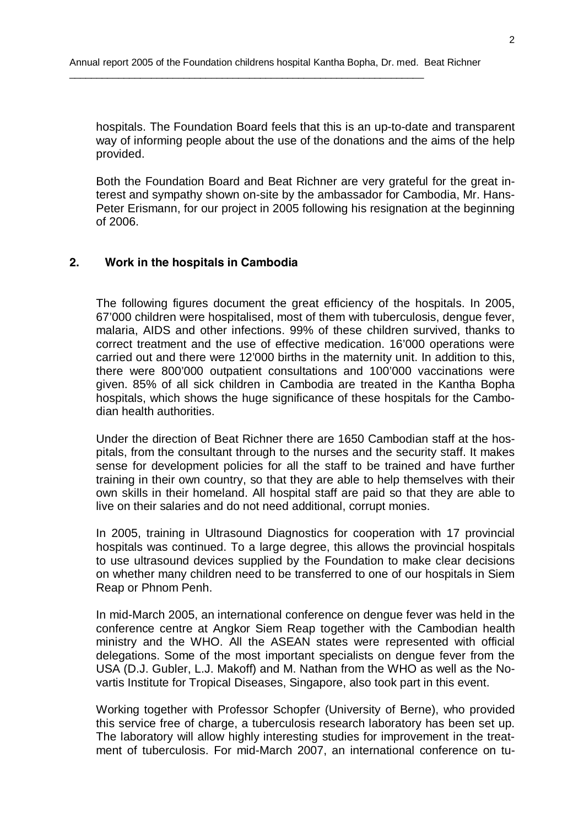hospitals. The Foundation Board feels that this is an up-to-date and transparent way of informing people about the use of the donations and the aims of the help provided.

Both the Foundation Board and Beat Richner are very grateful for the great interest and sympathy shown on-site by the ambassador for Cambodia, Mr. Hans-Peter Erismann, for our project in 2005 following his resignation at the beginning of 2006.

#### **2. Work in the hospitals in Cambodia**

The following figures document the great efficiency of the hospitals. In 2005, 67'000 children were hospitalised, most of them with tuberculosis, dengue fever, malaria, AIDS and other infections. 99% of these children survived, thanks to correct treatment and the use of effective medication. 16'000 operations were carried out and there were 12'000 births in the maternity unit. In addition to this, there were 800'000 outpatient consultations and 100'000 vaccinations were given. 85% of all sick children in Cambodia are treated in the Kantha Bopha hospitals, which shows the huge significance of these hospitals for the Cambodian health authorities.

Under the direction of Beat Richner there are 1650 Cambodian staff at the hospitals, from the consultant through to the nurses and the security staff. It makes sense for development policies for all the staff to be trained and have further training in their own country, so that they are able to help themselves with their own skills in their homeland. All hospital staff are paid so that they are able to live on their salaries and do not need additional, corrupt monies.

In 2005, training in Ultrasound Diagnostics for cooperation with 17 provincial hospitals was continued. To a large degree, this allows the provincial hospitals to use ultrasound devices supplied by the Foundation to make clear decisions on whether many children need to be transferred to one of our hospitals in Siem Reap or Phnom Penh.

In mid-March 2005, an international conference on dengue fever was held in the conference centre at Angkor Siem Reap together with the Cambodian health ministry and the WHO. All the ASEAN states were represented with official delegations. Some of the most important specialists on dengue fever from the USA (D.J. Gubler, L.J. Makoff) and M. Nathan from the WHO as well as the Novartis Institute for Tropical Diseases, Singapore, also took part in this event.

Working together with Professor Schopfer (University of Berne), who provided this service free of charge, a tuberculosis research laboratory has been set up. The laboratory will allow highly interesting studies for improvement in the treatment of tuberculosis. For mid-March 2007, an international conference on tu-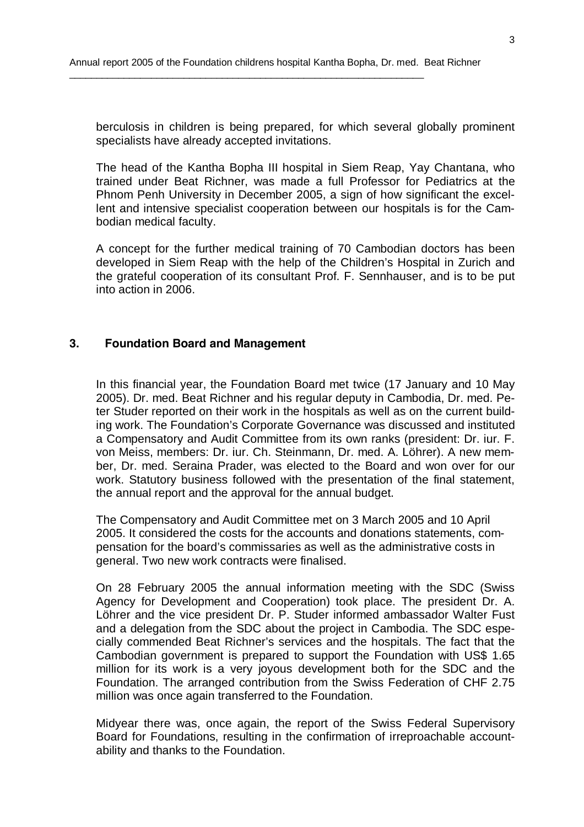berculosis in children is being prepared, for which several globally prominent specialists have already accepted invitations.

The head of the Kantha Bopha III hospital in Siem Reap, Yay Chantana, who trained under Beat Richner, was made a full Professor for Pediatrics at the Phnom Penh University in December 2005, a sign of how significant the excellent and intensive specialist cooperation between our hospitals is for the Cambodian medical faculty.

A concept for the further medical training of 70 Cambodian doctors has been developed in Siem Reap with the help of the Children's Hospital in Zurich and the grateful cooperation of its consultant Prof. F. Sennhauser, and is to be put into action in 2006.

# **3. Foundation Board and Management**

In this financial year, the Foundation Board met twice (17 January and 10 May 2005). Dr. med. Beat Richner and his regular deputy in Cambodia, Dr. med. Peter Studer reported on their work in the hospitals as well as on the current building work. The Foundation's Corporate Governance was discussed and instituted a Compensatory and Audit Committee from its own ranks (president: Dr. iur. F. von Meiss, members: Dr. iur. Ch. Steinmann, Dr. med. A. Löhrer). A new member, Dr. med. Seraina Prader, was elected to the Board and won over for our work. Statutory business followed with the presentation of the final statement, the annual report and the approval for the annual budget.

The Compensatory and Audit Committee met on 3 March 2005 and 10 April 2005. It considered the costs for the accounts and donations statements, compensation for the board's commissaries as well as the administrative costs in general. Two new work contracts were finalised.

On 28 February 2005 the annual information meeting with the SDC (Swiss Agency for Development and Cooperation) took place. The president Dr. A. Löhrer and the vice president Dr. P. Studer informed ambassador Walter Fust and a delegation from the SDC about the project in Cambodia. The SDC especially commended Beat Richner's services and the hospitals. The fact that the Cambodian government is prepared to support the Foundation with US\$ 1.65 million for its work is a very joyous development both for the SDC and the Foundation. The arranged contribution from the Swiss Federation of CHF 2.75 million was once again transferred to the Foundation.

Midyear there was, once again, the report of the Swiss Federal Supervisory Board for Foundations, resulting in the confirmation of irreproachable accountability and thanks to the Foundation.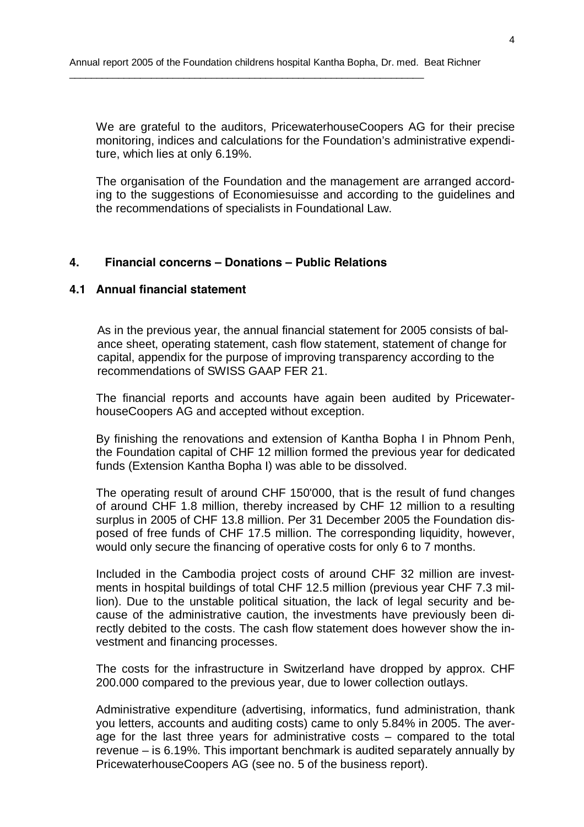We are grateful to the auditors, PricewaterhouseCoopers AG for their precise monitoring, indices and calculations for the Foundation's administrative expenditure, which lies at only 6.19%.

The organisation of the Foundation and the management are arranged according to the suggestions of Economiesuisse and according to the guidelines and the recommendations of specialists in Foundational Law.

#### **4. Financial concerns – Donations – Public Relations**

#### **4.1 Annual financial statement**

As in the previous year, the annual financial statement for 2005 consists of balance sheet, operating statement, cash flow statement, statement of change for capital, appendix for the purpose of improving transparency according to the recommendations of SWISS GAAP FER 21.

The financial reports and accounts have again been audited by PricewaterhouseCoopers AG and accepted without exception.

By finishing the renovations and extension of Kantha Bopha I in Phnom Penh, the Foundation capital of CHF 12 million formed the previous year for dedicated funds (Extension Kantha Bopha I) was able to be dissolved.

The operating result of around CHF 150'000, that is the result of fund changes of around CHF 1.8 million, thereby increased by CHF 12 million to a resulting surplus in 2005 of CHF 13.8 million. Per 31 December 2005 the Foundation disposed of free funds of CHF 17.5 million. The corresponding liquidity, however, would only secure the financing of operative costs for only 6 to 7 months.

Included in the Cambodia project costs of around CHF 32 million are investments in hospital buildings of total CHF 12.5 million (previous year CHF 7.3 million). Due to the unstable political situation, the lack of legal security and because of the administrative caution, the investments have previously been directly debited to the costs. The cash flow statement does however show the investment and financing processes.

The costs for the infrastructure in Switzerland have dropped by approx. CHF 200.000 compared to the previous year, due to lower collection outlays.

Administrative expenditure (advertising, informatics, fund administration, thank you letters, accounts and auditing costs) came to only 5.84% in 2005. The average for the last three years for administrative costs – compared to the total revenue – is 6.19%. This important benchmark is audited separately annually by PricewaterhouseCoopers AG (see no. 5 of the business report).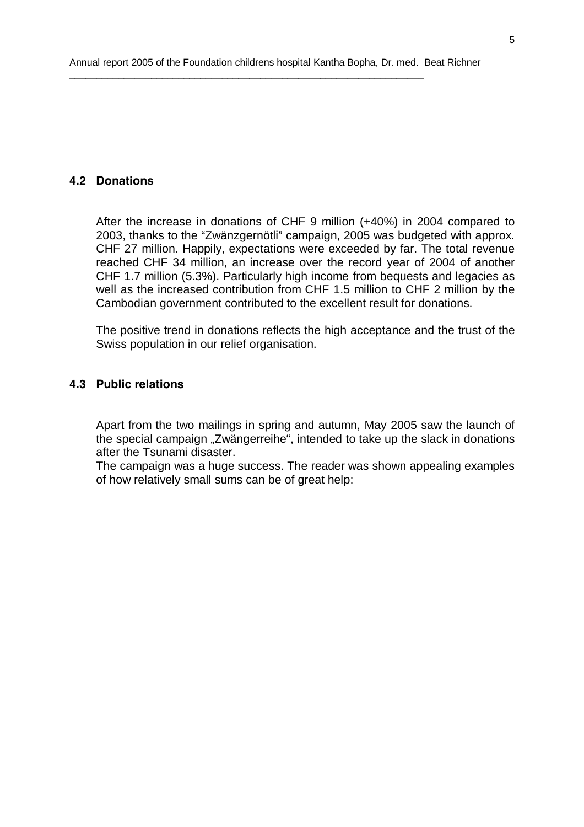# **4.2 Donations**

After the increase in donations of CHF 9 million (+40%) in 2004 compared to 2003, thanks to the "Zwänzgernötli" campaign, 2005 was budgeted with approx. CHF 27 million. Happily, expectations were exceeded by far. The total revenue reached CHF 34 million, an increase over the record year of 2004 of another CHF 1.7 million (5.3%). Particularly high income from bequests and legacies as well as the increased contribution from CHF 1.5 million to CHF 2 million by the Cambodian government contributed to the excellent result for donations.

The positive trend in donations reflects the high acceptance and the trust of the Swiss population in our relief organisation.

# **4.3 Public relations**

Apart from the two mailings in spring and autumn, May 2005 saw the launch of the special campaign "Zwängerreihe", intended to take up the slack in donations after the Tsunami disaster.

The campaign was a huge success. The reader was shown appealing examples of how relatively small sums can be of great help: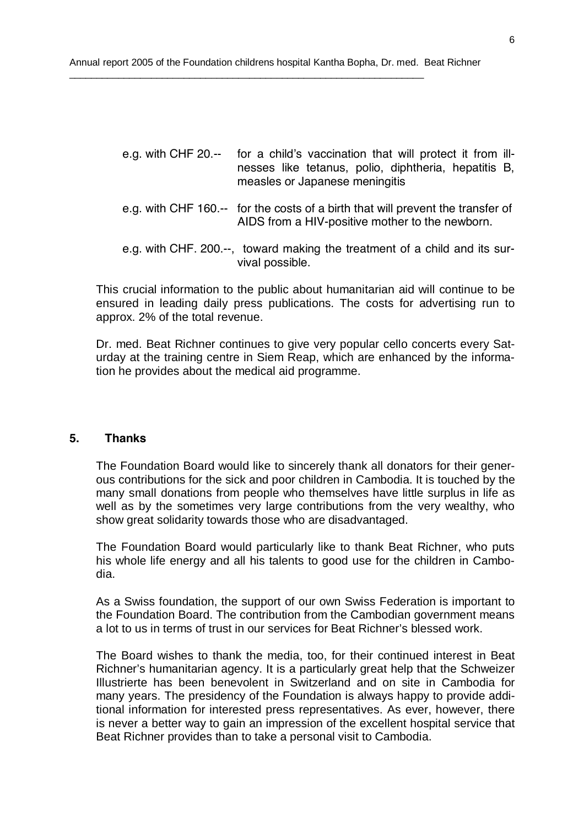- *e.g. with CHF 20.-- for a child's vaccination that will protect it from illnesses like tetanus, polio, diphtheria, hepatitis B, measles or Japanese meningitis*
- *e.g. with CHF 160.-- for the costs of a birth that will prevent the transfer of AIDS from a HIV-positive mother to the newborn.*
- *e.g. with CHF. 200.--, toward making the treatment of a child and its survival possible.*

This crucial information to the public about humanitarian aid will continue to be ensured in leading daily press publications. The costs for advertising run to approx. 2% of the total revenue.

Dr. med. Beat Richner continues to give very popular cello concerts every Saturday at the training centre in Siem Reap, which are enhanced by the information he provides about the medical aid programme.

#### **5. Thanks**

The Foundation Board would like to sincerely thank all donators for their generous contributions for the sick and poor children in Cambodia. It is touched by the many small donations from people who themselves have little surplus in life as well as by the sometimes very large contributions from the very wealthy, who show great solidarity towards those who are disadvantaged.

The Foundation Board would particularly like to thank Beat Richner, who puts his whole life energy and all his talents to good use for the children in Cambodia.

As a Swiss foundation, the support of our own Swiss Federation is important to the Foundation Board. The contribution from the Cambodian government means a lot to us in terms of trust in our services for Beat Richner's blessed work.

The Board wishes to thank the media, too, for their continued interest in Beat Richner's humanitarian agency. It is a particularly great help that the Schweizer Illustrierte has been benevolent in Switzerland and on site in Cambodia for many years. The presidency of the Foundation is always happy to provide additional information for interested press representatives. As ever, however, there is never a better way to gain an impression of the excellent hospital service that Beat Richner provides than to take a personal visit to Cambodia.